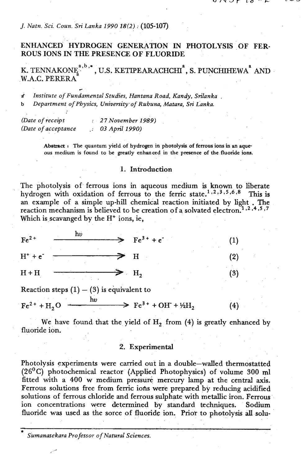### *J. Natn. Sci. Coun. Sri Lanka 1990 18(2)* : **(105-107)**

# ENHANCED HYDROGEN GENERATION IN PHOTOLYSIS OF FER-ROUS IONS IN THE PRESENCE OF FLUORIDE

**k**. TENNAKONE<sup>2,b,\*</sup>, U.S. KETIPEARACHCHI<sup>2</sup>, S. PUNCHIHEWA<sup>2</sup> AND W.A.C. **PERERA**  .-

> **Abstract t The quantum yield of hydrogen in photolysis of ferrous ions in an aqueous medium is found to be greatly enhanced in the presence of the fluoride ions.**

### 1. Introduction

The photolysis of ferrous ions in aqueous medium is known to liberate hydrogen with oxidation of ferrous to the ferric state.<sup>1,2,3,5,6,8</sup> This is an example of a simple up-hill chemical reaction initiated by light . The reaction mechanism is believed to be creation of a solvated electron.<sup>1,2,4,5,7</sup> Which is scavanged by the H<sup>+</sup> ions, ie,

| K. TENNAKONE <sup>.</sup><br>W.A.C. PERERA  | , U.S. KETIPEARACHCHI), S. PUNCHIHEW                                                                                                                                                                                                                                                         |     |
|---------------------------------------------|----------------------------------------------------------------------------------------------------------------------------------------------------------------------------------------------------------------------------------------------------------------------------------------------|-----|
| Ì.<br>b                                     | Institute of Fundamental Studies, Hantana Road, Kandy, Srilanka.<br>Department of Physics, University of Ruhuna, Matara, Sri Lanka.                                                                                                                                                          |     |
| (Date of receipt<br>(Date of acceptance     | : 27 November 1989)<br>$\therefore$ 03 April 1990)                                                                                                                                                                                                                                           |     |
|                                             | Abstract : The quantum yield of hydrogen in photolysis of ferrous ions in an a<br>ous medium is found to be greatly enhanced in the presence of the fluoride                                                                                                                                 |     |
|                                             | 1. Introduction                                                                                                                                                                                                                                                                              |     |
| Which is scavanged by the $H^+$ ions, ie,   | The photolysis of ferrous ions in aqueous medium is known to<br>hydrogen with oxidation of ferrous to the ferric state. <sup>1,2,3,5,6,8</sup><br>an example of a simple up-hill chemical reaction initiated by lig<br>reaction mechanism is believed to be creation of a solvated electron. |     |
| $h\dot{v}$<br>$Fe2+$                        | $Fe^{3+} + e^{-}$                                                                                                                                                                                                                                                                            | (1) |
| $H^+ + e^-$                                 | н                                                                                                                                                                                                                                                                                            | (2) |
| $H + H$                                     | H <sub>2</sub>                                                                                                                                                                                                                                                                               | (3) |
| Reaction steps $(1) - (3)$ is equivalent to |                                                                                                                                                                                                                                                                                              |     |
| hv<br>$Fe^{2+} + H_{2}O$                    | $\rightarrow$ Fe <sup>3+</sup> + OH + ½H <sub>2</sub>                                                                                                                                                                                                                                        | (4) |
|                                             | We have found that the yield of $H_2$ from (4) is greatly enh                                                                                                                                                                                                                                |     |

We have found that the yield of  $H_2$  from  $(4)$  is greatly enhanced by fluoride ion.

### 2. Experimental

Photolysis experiments were carried out in a double-walled thermostatted (2 **6'** C) photochemical reactor (Applied Photophysics) of volume **300** ml fitted **with** a **400** w medium pressure mercury lamp at the central axis. Ferrous solutions free from ferric ions were prepared by reducing acidified solutions of ferrous chloride and ferrous sulphate with metallic iron. Ferrous ion concentrations were determined by standard techniques. Sodium fluoride was used as the sorce of fluoride ion. Prior to photolysis all solu-

\* *Sumanasekara Professor of Natural Sciences.*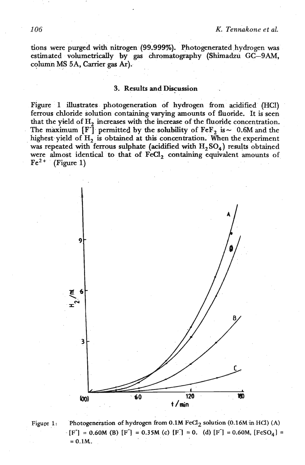tions were purged with nitrogen (99.999%). Photogenerated hydrogen was estimated volumetrically by gas chromatography (Shimadzu GC-9AM, column MS 5A, Canier **gas Ar).** 

#### 3. Results and **Discussion**

Figure 1 illustrates photogeneration of hydrogen from acidified (HCl) ferrous chloride solution containing varying amounts of fluoride. It is seen that the yield of H<sub>2</sub> increases with the increase of the fluoride concentration. The maximum  $[F^-]$  permitted by the solubility of  $FeF<sub>2</sub>$  is  $\sim$  0.6M and the highest yield of H<sub>2</sub> is obtained at this concentration. When the experiment was repeated with ferrous sulphate (acidified with  $H_2SO_4$ ) results obtained were almost identical to that of FeCl<sub>2</sub> containing equivalent amounts of  $Fe<sup>2+</sup>$  (Figure 1)





**Figure 1:** Photogeneration of hydrogen from 0.1M FeCl<sub>2</sub> solution (0.16M in HCl) (A)  $\textbf{F} \cdot [\textbf{F}^{\text{-}}] = 0.60 \text{M} \cdot (\textbf{B}) [\textbf{F}^{\text{-}}] = 0.35 \text{M} \cdot (\textbf{c}) [\textbf{F}^{\text{-}}] = 0. (d) [\textbf{F}^{\text{-}}] = 0.60 \text{M}, [\textbf{FeSO}_4] = 0.60 \text{M}$  $= 0.1M$ .